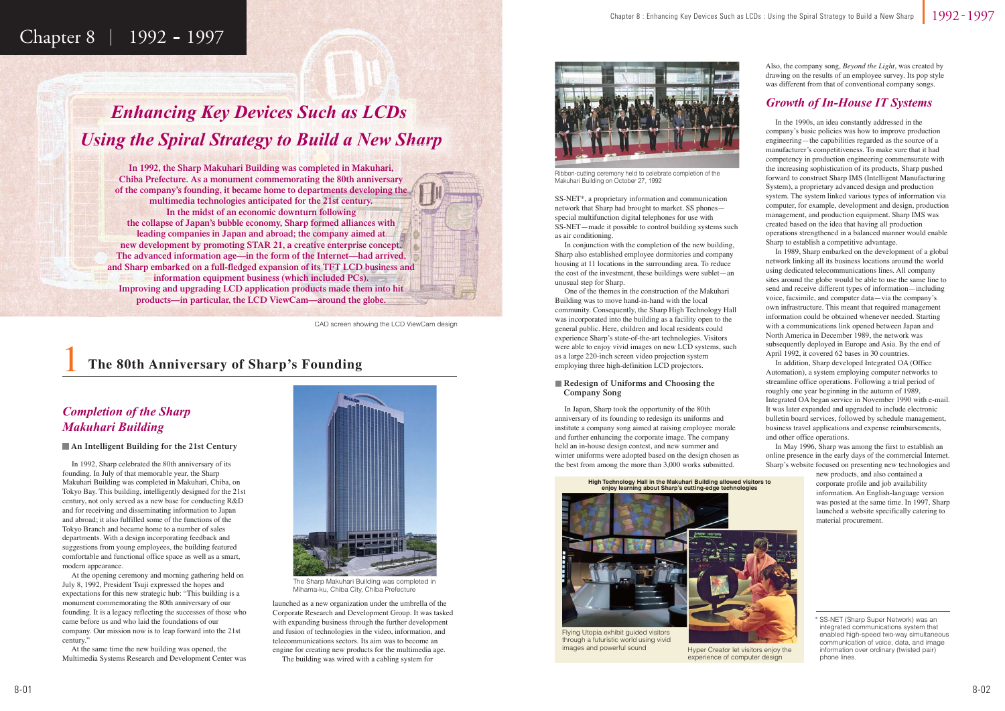1

### Chapter 8 | 1992 - 1997

### **The 80th Anniversary of Sharp's Founding**

 In 1992, Sharp celebrated the 80th anniversary of its founding. In July of that memorable year, the Sharp Makuhari Building was completed in Makuhari, Chiba, on Tokyo Bay. This building, intelligently designed for the 21st century, not only served as a new base for conducting R&D and for receiving and disseminating information to Japan and abroad; it also fulfilled some of the functions of the Tokyo Branch and became home to a number of sales departments. With a design incorporating feedback and suggestions from young employees, the building featured comfortable and functional office space as well as a smart, modern appearance.

 At the opening ceremony and morning gathering held on July 8, 1992, President Tsuji expressed the hopes and expectations for this new strategic hub: "This building is a monument commemorating the 80th anniversary of our founding. It is a legacy reflecting the successes of those who came before us and who laid the foundations of our company. Our mission now is to leap forward into the 21st century."

 At the same time the new building was opened, the Multimedia Systems Research and Development Center was launched as a new organization under the umbrella of the Corporate Research and Development Group. It was tasked with expanding business through the further development and fusion of technologies in the video, information, and telecommunications sectors. Its aim was to become an engine for creating new products for the multimedia age. The building was wired with a cabling system for

 In the 1990s, an idea constantly addressed in the company's basic policies was how to improve production engineering—the capabilities regarded as the source of a manufacturer's competitiveness. To make sure that it had competency in production engineering commensurate with the increasing sophistication of its products, Sharp pushed forward to construct Sharp IMS (Intelligent Manufacturing System), a proprietary advanced design and production system. The system linked various types of information via computer, for example, development and design, production management, and production equipment. Sharp IMS was created based on the idea that having all production operations strengthened in a balanced manner would enable Sharp to establish a competitive advantage.

 In 1989, Sharp embarked on the development of a global network linking all its business locations around the world using dedicated telecommunications lines. All company sites around the globe would be able to use the same line to send and receive different types of information—including voice, facsimile, and computer data—via the company's own infrastructure. This meant that required management information could be obtained whenever needed. Starting with a communications link opened between Japan and North America in December 1989, the network was subsequently deployed in Europe and Asia. By the end of April 1992, it covered 62 bases in 30 countries.



Flying Utopia exhibit guided visitors through a futuristic world using vivid<br>images and powerful sound

Hyper Creator let visitors enjoy the experience of computer design

 In addition, Sharp developed Integrated OA (Office Automation), a system employing computer networks to streamline office operations. Following a trial period of roughly one year beginning in the autumn of 1989, Integrated OA began service in November 1990 with e-mail. It was later expanded and upgraded to include electronic bulletin board services, followed by schedule management, business travel applications and expense reimbursements, and other office operations.

 In May 1996, Sharp was among the first to establish an online presence in the early days of the commercial Internet. Sharp's website focused on presenting new technologies and

> new products, and also contained a corporate profile and job availability information. An English-language version was posted at the same time. In 1997, Sharp launched a website specifically catering to material procurement.



### *Completion of the Sharp Makuhari Building*

#### **An Intelligent Building for the 21st Century**



The Sharp Makuhari Building was completed in Mihama-ku, Chiba City, Chiba Prefecture

#### **Redesign of Uniforms and Choosing the Company Song**

### *Growth of In-House IT Systems*

SS-NET\*, a proprietary information and communication network that Sharp had brought to market. SS phones special multifunction digital telephones for use with SS-NET—made it possible to control building systems such as air conditioning.

 In conjunction with the completion of the new building, Sharp also established employee dormitories and company housing at 11 locations in the surrounding area. To reduce the cost of the investment, these buildings were sublet—an unusual step for Sharp.

 One of the themes in the construction of the Makuhari Building was to move hand-in-hand with the local community. Consequently, the Sharp High Technology Hall was incorporated into the building as a facility open to the general public. Here, children and local residents could experience Sharp's state-of-the-art technologies. Visitors were able to enjoy vivid images on new LCD systems, such as a large 220-inch screen video projection system employing three high-definition LCD projectors.



Ribbon-cutting ceremony held to celebrate completion of the Makuhari Building on October 27, 1992

**High Technology Hall in the Makuhari Building allowed visitors to enjoy learning about Sharp's cutting-edge technologies**

 In Japan, Sharp took the opportunity of the 80th anniversary of its founding to redesign its uniforms and institute a company song aimed at raising employee morale and further enhancing the corporate image. The company held an in-house design contest, and new summer and winter uniforms were adopted based on the design chosen as the best from among the more than 3,000 works submitted.

Also, the company song, *Beyond the Light*, was created by drawing on the results of an employee survey. Its pop style was different from that of conventional company songs.

## *Enhancing Key Devices Such as LCDs Using the Spiral Strategy to Build a New Sharp sing the Spiral Strategy to Build <sup>a</sup> New Sh*

**In 1992, the Sharp Makuhari Building was completed in Makuhari, Chiba Prefecture. As a monument commemorating the 80th anniversary of the company's founding, it became home to departments developing the multimedia technologies anticipated for the 21st century. In the midst of an economic downturn following the collapse of Japan's bubble economy, Sharp formed alliances with leading companies in Japan and abroad; the company aimed at new development by promoting STAR 21, a creative enterprise concept. The advanced information age—in the form of the Internet—had arrived, and Sharp embarked on a full-fledged expansion of its TFT LCD business and information equipment business (which included PCs). Improving and upgrading LCD application products made them into hit products—in particular, the LCD ViewCam—around the globe.**

CAD screen showing the LCD ViewCam design

<sup>\*</sup> SS-NET (Sharp Super Network) was an integrated communications system that enabled high-speed two-way simultaneous communication of voice, data, and image information over ordinary (twisted pair) phone lines.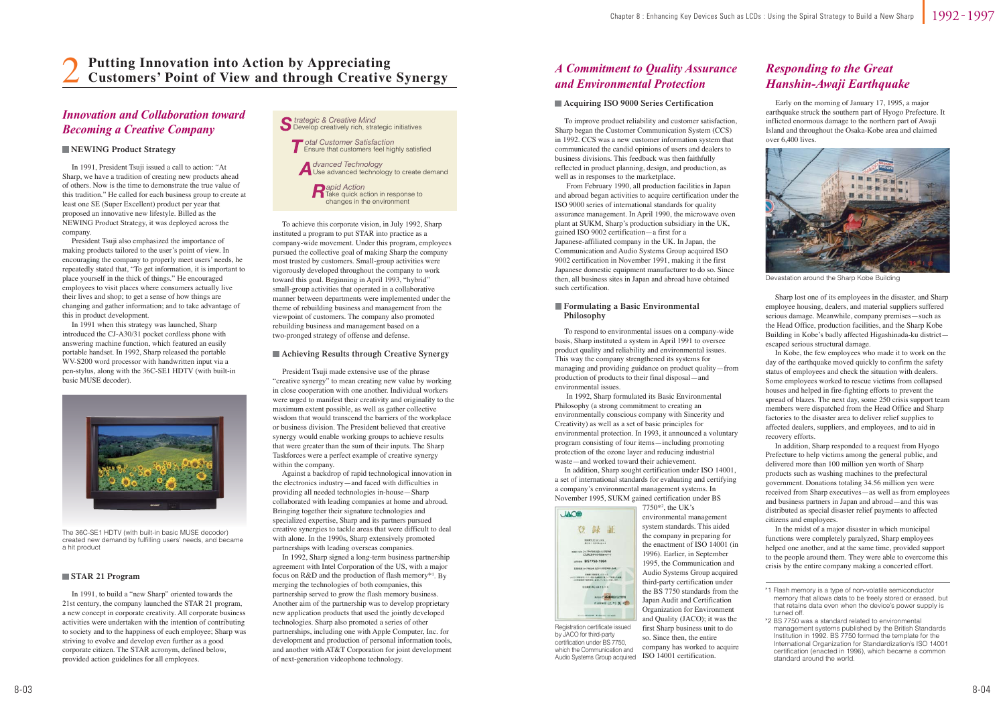In 1991, President Tsuji issued a call to action: "At Sharp, we have a tradition of creating new products ahead of others. Now is the time to demonstrate the true value of this tradition." He called for each business group to create at least one SE (Super Excellent) product per year that proposed an innovative new lifestyle. Billed as the NEWING Product Strategy, it was deployed across the company.

 President Tsuji also emphasized the importance of making products tailored to the user's point of view. In encouraging the company to properly meet users' needs, he repeatedly stated that, "To get information, it is important to place yourself in the thick of things." He encouraged employees to visit places where consumers actually live their lives and shop; to get a sense of how things are changing and gather information; and to take advantage of this in product development.

 In 1991 when this strategy was launched, Sharp introduced the CJ-A30/31 pocket cordless phone with answering machine function, which featured an easily portable handset. In 1992, Sharp released the portable WV-S200 word processor with handwritten input via a pen-stylus, along with the 36C-SE1 HDTV (with built-in basic MUSE decoder).



 Early on the morning of January 17, 1995, a major earthquake struck the southern part of Hyogo Prefecture. It inflicted enormous damage to the northern part of Awaji Island and throughout the Osaka-Kobe area and claimed over 6,400 lives.

 Sharp lost one of its employees in the disaster, and Sharp employee housing, dealers, and material suppliers suffered serious damage. Meanwhile, company premises—such as the Head Office, production facilities, and the Sharp Kobe Building in Kobe's badly affected Higashinada-ku district escaped serious structural damage.

system standards. This aided the company in preparing for the enactment of ISO 14001 (in 1996). Earlier, in September 1995, the Communication and Audio Systems Group acquired third-party certification under the BS 7750 standards from the Japan Audit and Certification Organization for Environment and Quality (JACO); it was the first Sharp business unit to do so. Since then, the entire company has worked to acquire Audio Systems Group acquired ISO 14001 certification.

 In Kobe, the few employees who made it to work on the day of the earthquake moved quickly to confirm the safety status of employees and check the situation with dealers. Some employees worked to rescue victims from collapsed houses and helped in fire-fighting efforts to prevent the spread of blazes. The next day, some 250 crisis support team members were dispatched from the Head Office and Sharp factories to the disaster area to deliver relief supplies to affected dealers, suppliers, and employees, and to aid in recovery efforts.

 In addition, Sharp responded to a request from Hyogo Prefecture to help victims among the general public, and delivered more than 100 million yen worth of Sharp products such as washing machines to the prefectural government. Donations totaling 34.56 million yen were received from Sharp executives—as well as from employees and business partners in Japan and abroad—and this was distributed as special disaster relief payments to affected citizens and employees.

 In the midst of a major disaster in which municipal functions were completely paralyzed, Sharp employees helped one another, and at the same time, provided support to the people around them. They were able to overcome this crisis by the entire company making a concerted effort.

 To respond to environmental issues on a company-wide basis, Sharp instituted a system in April 1991 to oversee product quality and reliability and environmental issues. This way the company strengthened its systems for managing and providing guidance on product quality—from production of products to their final disposal—and environmental issues.

 In 1992, Sharp formulated its Basic Environmental Philosophy (a strong commitment to creating an environmentally conscious company with Sincerity and Creativity) as well as a set of basic principles for environmental protection. In 1993, it announced a voluntary program consisting of four items—including promoting protection of the ozone layer and reducing industrial waste—and worked toward their achievement.

 In addition, Sharp sought certification under ISO 14001, a set of international standards for evaluating and certifying a company's environmental management systems. In November 1995, SUKM gained certification under BS

Registration certificate issued by JACO for third-party certification under BS 7750, which the Communication and 7750\*2, the UK's

environmental management



### *Innovation and Collaboration toward Becoming a Creative Company*

#### **NEWING Product Strategy**

 President Tsuji made extensive use of the phrase "creative synergy" to mean creating new value by working in close cooperation with one another. Individual workers were urged to manifest their creativity and originality to the maximum extent possible, as well as gather collective wisdom that would transcend the barriers of the workplace or business division. The President believed that creative synergy would enable working groups to achieve results that were greater than the sum of their inputs. The Sharp Taskforces were a perfect example of creative synergy within the company.

 Against a backdrop of rapid technological innovation in the electronics industry—and faced with difficulties in providing all needed technologies in-house—Sharp collaborated with leading companies at home and abroad. Bringing together their signature technologies and specialized expertise, Sharp and its partners pursued creative synergies to tackle areas that were difficult to deal with alone. In the 1990s, Sharp extensively promoted partnerships with leading overseas companies.

 In 1992, Sharp signed a long-term business partnership agreement with Intel Corporation of the US, with a major focus on  $R&D$  and the production of flash memory<sup>\*1</sup>. By merging the technologies of both companies, this partnership served to grow the flash memory business. Another aim of the partnership was to develop proprietary new application products that used the jointly developed technologies. Sharp also promoted a series of other partnerships, including one with Apple Computer, Inc. for development and production of personal information tools, and another with AT&T Corporation for joint development of next-generation videophone technology.

#### **Achieving Results through Creative Synergy**

#### **Acquiring ISO 9000 Series Certification**

 In 1991, to build a "new Sharp" oriented towards the 21st century, the company launched the STAR 21 program, a new concept in corporate creativity. All corporate business activities were undertaken with the intention of contributing to society and to the happiness of each employee; Sharp was striving to evolve and develop even further as a good corporate citizen. The STAR acronym, defined below, provided action guidelines for all employees.

#### **STAR 21 Program**

The 36C-SE1 HDTV (with built-in basic MUSE decoder) created new demand by fulfilling users' needs, and became a hit product

#### **Formulating a Basic Environmental Philosophy**

 To improve product reliability and customer satisfaction, Sharp began the Customer Communication System (CCS) in 1992. CCS was a new customer information system that communicated the candid opinions of users and dealers to business divisions. This feedback was then faithfully reflected in product planning, design, and production, as well as in responses to the marketplace.

 From February 1990, all production facilities in Japan and abroad began activities to acquire certification under the ISO 9000 series of international standards for quality assurance management. In April 1990, the microwave oven plant at SUKM, Sharp's production subsidiary in the UK, gained ISO 9002 certification—a first for a Japanese-affiliated company in the UK. In Japan, the Communication and Audio Systems Group acquired ISO 9002 certification in November 1991, making it the first Japanese domestic equipment manufacturer to do so. Since then, all business sites in Japan and abroad have obtained such certification.

### *A Commitment to Quality Assurance and Environmental Protection*

### *Responding to the Great Hanshin-Awaji Earthquake*



Devastation around the Sharp Kobe Building

# 2 **Putting Innovation into Action by Appreciating Customers' Point of View and through Creative Synergy**



 To achieve this corporate vision, in July 1992, Sharp instituted a program to put STAR into practice as a company-wide movement. Under this program, employees pursued the collective goal of making Sharp the company most trusted by customers. Small-group activities were vigorously developed throughout the company to work toward this goal. Beginning in April 1993, "hybrid" small-group activities that operated in a collaborative manner between departments were implemented under the theme of rebuilding business and management from the viewpoint of customers. The company also promoted rebuilding business and management based on a two-pronged strategy of offense and defense.

\*2 BS 7750 was a standard related to environmental management systems published by the British Standards Institution in 1992. BS 7750 formed the template for the International Organization for Standardization's ISO 14001 certification (enacted in 1996), which became a common standard around the world.

<sup>\*1</sup> Flash memory is a type of non-volatile semiconductor memory that allows data to be freely stored or erased, but that retains data even when the device's power supply is turned off.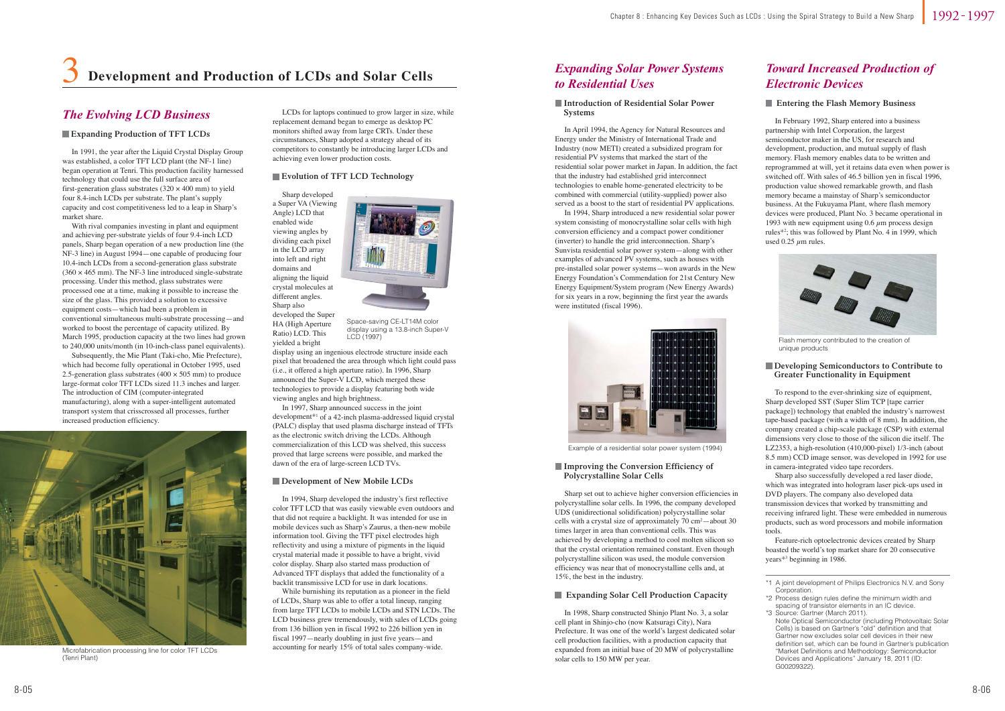

 In 1991, the year after the Liquid Crystal Display Group was established, a color TFT LCD plant (the NF-1 line) began operation at Tenri. This production facility harnessed technology that could use the full surface area of first-generation glass substrates  $(320 \times 400 \text{ mm})$  to yield four 8.4-inch LCDs per substrate. The plant's supply capacity and cost competitiveness led to a leap in Sharp's market share.

 With rival companies investing in plant and equipment and achieving per-substrate yields of four 9.4-inch LCD panels, Sharp began operation of a new production line (the NF-3 line) in August 1994—one capable of producing four 10.4-inch LCDs from a second-generation glass substrate  $(360 \times 465 \text{ mm})$ . The NF-3 line introduced single-substrate processing. Under this method, glass substrates were processed one at a time, making it possible to increase the size of the glass. This provided a solution to excessive equipment costs—which had been a problem in conventional simultaneous multi-substrate processing—and worked to boost the percentage of capacity utilized. By March 1995, production capacity at the two lines had grown to 240,000 units/month (in 10-inch-class panel equivalents).

 Subsequently, the Mie Plant (Taki-cho, Mie Prefecture), which had become fully operational in October 1995, used 2.5-generation glass substrates (400  $\times$  505 mm) to produce large-format color TFT LCDs sized 11.3 inches and larger. The introduction of CIM (computer-integrated manufacturing), along with a super-intelligent automated transport system that crisscrossed all processes, further increased production efficiency.

 In April 1994, the Agency for Natural Resources and Energy under the Ministry of International Trade and Industry (now METI) created a subsidized program for residential PV systems that marked the start of the residential solar power market in Japan. In addition, the fact that the industry had established grid interconnect technologies to enable home-generated electricity to be combined with commercial (utility-supplied) power also served as a boost to the start of residential PV applications.

 In 1994, Sharp introduced a new residential solar power system consisting of monocrystalline solar cells with high conversion efficiency and a compact power conditioner (inverter) to handle the grid interconnection. Sharp's Sunvista residential solar power system—along with other examples of advanced PV systems, such as houses with pre-installed solar power systems—won awards in the New Energy Foundation's Commendation for 21st Century New Energy Equipment/System program (New Energy Awards) for six years in a row, beginning the first year the awards were instituted (fiscal 1996).

 In February 1992, Sharp entered into a business partnership with Intel Corporation, the largest semiconductor maker in the US, for research and development, production, and mutual supply of flash memory. Flash memory enables data to be written and reprogrammed at will, yet it retains data even when power is switched off. With sales of 46.5 billion yen in fiscal 1996, production value showed remarkable growth, and flash memory became a mainstay of Sharp's semiconductor business. At the Fukuyama Plant, where flash memory devices were produced, Plant No. 3 became operational in 1993 with new equipment using 0.6  $\mu$ m process design rules\*2; this was followed by Plant No. 4 in 1999, which used 0.25  $\mu$ m rules.

### *The Evolving LCD Business*

#### **Expanding Production of TFT LCDs**

 Sharp developed a Super VA (Viewing Angle) LCD that enabled wide viewing angles by dividing each pixel in the LCD array into left and right domains and aligning the liquid crystal molecules at different angles. Sharp also developed the Super HA (High Aperture Ratio) LCD. This yielded a bright

display using an ingenious electrode structure inside each pixel that broadened the area through which light could pass (i.e., it offered a high aperture ratio). In 1996, Sharp announced the Super-V LCD, which merged these technologies to provide a display featuring both wide viewing angles and high brightness.

 In 1997, Sharp announced success in the joint development\*1 of a 42-inch plasma-addressed liquid crystal (PALC) display that used plasma discharge instead of TFTs as the electronic switch driving the LCDs. Although commercialization of this LCD was shelved, this success proved that large screens were possible, and marked the dawn of the era of large-screen LCD TVs.

#### **Development of New Mobile LCDs**

#### **Evolution of TFT LCD Technology**

 In 1994, Sharp developed the industry's first reflective color TFT LCD that was easily viewable even outdoors and that did not require a backlight. It was intended for use in mobile devices such as Sharp's Zaurus, a then-new mobile information tool. Giving the TFT pixel electrodes high reflectivity and using a mixture of pigments in the liquid crystal material made it possible to have a bright, vivid color display. Sharp also started mass production of Advanced TFT displays that added the functionality of a backlit transmissive LCD for use in dark locations.

 While burnishing its reputation as a pioneer in the field of LCDs, Sharp was able to offer a total lineup, ranging from large TFT LCDs to mobile LCDs and STN LCDs. The LCD business grew tremendously, with sales of LCDs going from 136 billion yen in fiscal 1992 to 226 billion yen in fiscal 1997—nearly doubling in just five years—and accounting for nearly 15% of total sales company-wide.

 In 1998, Sharp constructed Shinjo Plant No. 3, a solar cell plant in Shinjo-cho (now Katsuragi City), Nara Prefecture. It was one of the world's largest dedicated solar cell production facilities, with a production capacity that expanded from an initial base of 20 MW of polycrystalline solar cells to 150 MW per year.

#### **Expanding Solar Cell Production Capacity**



Microfabrication processing line for color TFT LCDs (Tenri Plant)

#### **Introduction of Residential Solar Power Systems**

 To respond to the ever-shrinking size of equipment, Sharp developed SST (Super Slim TCP [tape carrier package]) technology that enabled the industry's narrowest tape-based package (with a width of 8 mm). In addition, the company created a chip-scale package (CSP) with external dimensions very close to those of the silicon die itself. The LZ2353, a high-resolution (410,000-pixel) 1/3-inch (about 8.5 mm) CCD image sensor, was developed in 1992 for use in camera-integrated video tape recorders.

 Sharp also successfully developed a red laser diode, which was integrated into hologram laser pick-ups used in DVD players. The company also developed data transmission devices that worked by transmitting and receiving infrared light. These were embedded in numerous products, such as word processors and mobile information tools.

 Feature-rich optoelectronic devices created by Sharp boasted the world's top market share for 20 consecutive years\*3 beginning in 1986.

#### **Developing Semiconductors to Contribute to Greater Functionality in Equipment**

 Sharp set out to achieve higher conversion efficiencies in polycrystalline solar cells. In 1996, the company developed UDS (unidirectional solidification) polycrystalline solar cells with a crystal size of approximately  $70 \text{ cm}^2$ —about 30 times larger in area than conventional cells. This was achieved by developing a method to cool molten silicon so that the crystal orientation remained constant. Even though polycrystalline silicon was used, the module conversion efficiency was near that of monocrystalline cells and, at 15%, the best in the industry.

#### **Improving the Conversion Efficiency of Polycrystalline Solar Cells**

### *Expanding Solar Power Systems to Residential Uses*

### *Toward Increased Production of Electronic Devices*

#### **Entering the Flash Memory Business**



Space-saving CE-LT14M color display using a 13.8-inch Super-V LCD (1997)



Example of a residential solar power system (1994)



Flash memory contributed to the creation of unique products

### 3**Development and Production of LCDs and Solar Cells**

 LCDs for laptops continued to grow larger in size, while replacement demand began to emerge as desktop PC monitors shifted away from large CRTs. Under these circumstances, Sharp adopted a strategy ahead of its competitors to constantly be introducing larger LCDs and achieving even lower production costs.

<sup>\*1</sup> A joint development of Philips Electronics N.V. and Sony Corporation

<sup>\*2</sup> Process design rules define the minimum width and spacing of transistor elements in an IC device.

<sup>\*3</sup> Source: Gartner (March 2011). Note Optical Semiconductor (including Photovoltaic Solar Cells) is based on Gartner's "old" definition and that Gartner now excludes solar cell devices in their new definition set, which can be found in Gartner's publication "Market Definitions and Methodology: Semiconductor Devices and Applications" January 18, 2011 (ID: G00209322).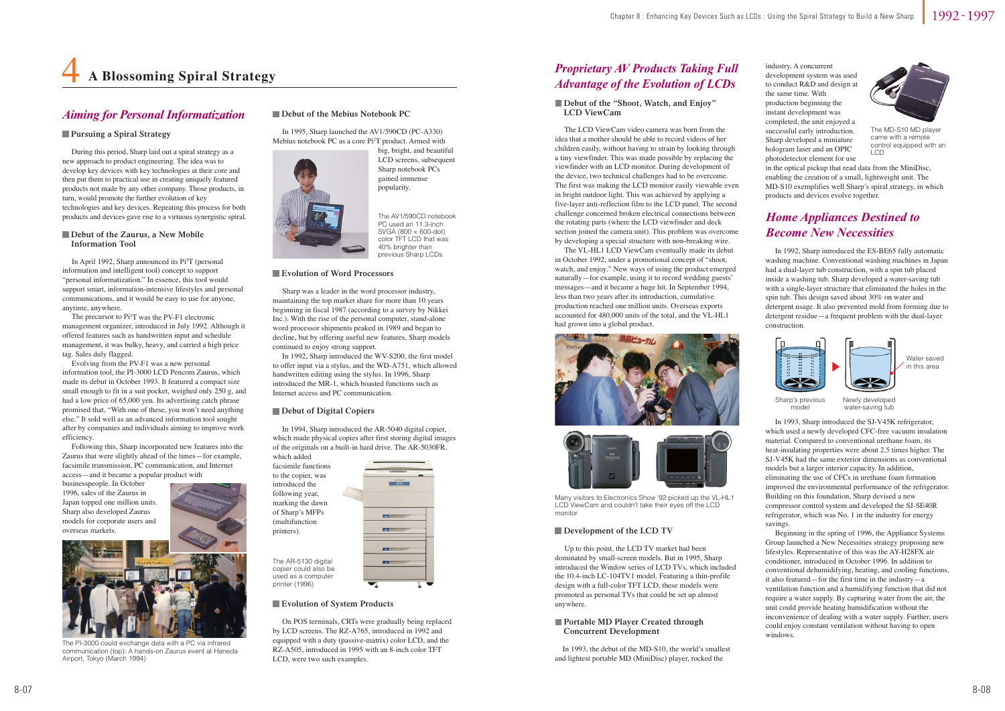### 1992 1997

 During this period, Sharp laid out a spiral strategy as a new approach to product engineering. The idea was to develop key devices with key technologies at their core and then put them to practical use in creating uniquely featured products not made by any other company. Those products, in turn, would promote the further evolution of key technologies and key devices. Repeating this process for both products and devices gave rise to a virtuous synergistic spiral.

 The LCD ViewCam video camera was born from the idea that a mother should be able to record videos of her children easily, without having to strain by looking through a tiny viewfinder. This was made possible by replacing the viewfinder with an LCD monitor. During development of the device, two technical challenges had to be overcome. The first was making the LCD monitor easily viewable even in bright outdoor light. This was achieved by applying a five-layer anti-reflection film to the LCD panel. The second challenge concerned broken electrical connections between the rotating parts (where the LCD viewfinder and deck section joined the camera unit). This problem was overcome by developing a special structure with non-breaking wire.

#### **Debut of the "Shoot, Watch, and Enjoy" LCD ViewCam**

#### **Debut of the Zaurus, a New Mobile Information Tool**

 The VL-HL1 LCD ViewCam eventually made its debut in October 1992, under a promotional concept of "shoot, watch, and enjoy." New ways of using the product emerged naturally—for example, using it to record wedding guests' messages—and it became a huge hit. In September 1994, less than two years after its introduction, cumulative production reached one million units. Overseas exports accounted for 480,000 units of the total, and the VL-HL1 had grown into a global product.





### *Aiming for Personal Informatization*

#### **Pursuing a Spiral Strategy**

 Up to this point, the LCD TV market had been dominated by small-screen models. But in 1995, Sharp introduced the Window series of LCD TVs, which included the 10.4-inch LC-104TV1 model. Featuring a thin-profile design with a full-color TFT LCD, these models were promoted as personal TVs that could be set up almost anywhere.

 In 1993, the debut of the MD-S10, the world's smallest and lightest portable MD (MiniDisc) player, rocked the



The PI-3000 could exchange data with a PC via infrared communication (top); A hands-on Zaurus event at Haneda Airport, Tokyo (March 1994)

#### ■ Debut of the Mebius Notebook PC

### *Proprietary AV Products Taking Full Advantage of the Evolution of LCDs*

The AR-5130 digital copier could also be used as a computer printer (1996)



#### **Evolution of System Products**

Many visitors to Electronics Show '92 picked up the VL-HL1 LCD ViewCam and couldn't take their eyes off the LCD monitor

#### **Development of the LCD TV**

### 4**A Blossoming Spiral Strategy**

 In April 1992, Sharp announced its Pi2T (personal information and intelligent tool) concept to support "personal informatization." In essence, this tool would support smart, information-intensive lifestyles and personal communications, and it would be easy to use for anyone, anytime, anywhere.

 The precursor to Pi2T was the PV-F1 electronic management organizer, introduced in July 1992. Although it offered features such as handwritten input and schedule management, it was bulky, heavy, and carried a high price tag. Sales duly flagged.

> In 1993, Sharp introduced the SJ-V45K refrigerator, which used a newly developed CFC-free vacuum insulation material. Compared to conventional urethane foam, its heat-insulating properties were about 2.5 times higher. The SJ-V45K had the same exterior dimensions as conventional models but a larger interior capacity. In addition, eliminating the use of CFCs in urethane foam formation improved the environmental performance of the refrigerator. Building on this foundation, Sharp devised a new compressor control system and developed the SJ-SE40R refrigerator, which was No. 1 in the industry for energy savings.

 Evolving from the PV-F1 was a new personal information tool, the PI-3000 LCD Pencom Zaurus, which made its debut in October 1993. It featured a compact size small enough to fit in a suit pocket, weighed only 250 g, and had a low price of 65,000 yen. Its advertising catch phrase promised that, "With one of these, you won't need anything else." It sold well as an advanced information tool sought after by companies and individuals aiming to improve work efficiency.

 Following this, Sharp incorporated new features into the Zaurus that were slightly ahead of the times—for example, facsimile transmission, PC communication, and Internet access—and it became a popular product with

#### **Portable MD Player Created through Concurrent Development**

businesspeople. In October 1996, sales of the Zaurus in Japan topped one million units. Sharp also developed Zaurus models for corporate users and overseas markets.

 In 1995, Sharp launched the AV1/590CD (PC-A330) Mebius notebook PC as a core Pi2T product. Armed with



big, bright, and beautiful LCD screens, subsequent Sharp notebook PCs gained immense popularity.

#### **Evolution of Word Processors**

 Sharp was a leader in the word processor industry, maintaining the top market share for more than 10 years beginning in fiscal 1987 (according to a survey by Nikkei Inc.). With the rise of the personal computer, stand-alone word processor shipments peaked in 1989 and began to decline, but by offering useful new features, Sharp models continued to enjoy strong support.

 In 1992, Sharp introduced the WV-S200, the first model to offer input via a stylus, and the WD-A751, which allowed handwritten editing using the stylus. In 1996, Sharp introduced the MR-1, which boasted functions such as Internet access and PC communication.

#### **Debut of Digital Copiers**

 On POS terminals, CRTs were gradually being replaced by LCD screens. The RZ-A765, introduced in 1992 and equipped with a duty (passive-matrix) color LCD, and the RZ-A505, introduced in 1995 with an 8-inch color TFT LCD, were two such examples.

 In 1994, Sharp introduced the AR-5040 digital copier, which made physical copies after first storing digital images of the originals on a built-in hard drive. The AR-5030FR,

which added facsimile functions to the copier, was introduced the following year, marking the dawn of Sharp's MFPs (multifunction printers).

 In 1992, Sharp introduced the ES-BE65 fully automatic washing machine. Conventional washing machines in Japan had a dual-layer tub construction, with a spin tub placed inside a washing tub. Sharp developed a water-saving tub with a single-layer structure that eliminated the holes in the spin tub. This design saved about 30% on water and detergent usage. It also prevented mold from forming due to detergent residue—a frequent problem with the dual-layer construction.

 Beginning in the spring of 1996, the Appliance Systems Group launched a New Necessities strategy proposing new lifestyles. Representative of this was the AY-H28FX air conditioner, introduced in October 1996. In addition to conventional dehumidifying, heating, and cooling functions, it also featured—for the first time in the industry—a ventilation function and a humidifying function that did not require a water supply. By capturing water from the air, the unit could provide heating humidification without the inconvenience of dealing with a water supply. Further, users could enjoy constant ventilation without having to open windows.

### *Home Appliances Destined to Become New Necessities*

industry. A concurrent development system was used to conduct R&D and design at the same time. With production beginning the instant development was completed, the unit enjoyed a successful early introduction. Sharp developed a miniature hologram laser and an OPIC photodetector element for use

in the optical pickup that read data from the MiniDisc, enabling the creation of a small, lightweight unit. The MD-S10 exemplifies well Sharp's spiral strategy, in which products and devices evolve together.



The MD-S10 MD player came with a remote control equipped with an LCD



Sharp's previous model



Newly developed water-saving tub

Water savedin this area

The AV1/590CD notebook PC used an 11.3-inch SVGA (800 × 600-dot) color TFT LCD that was 40% brighter than previous Sharp LCDs